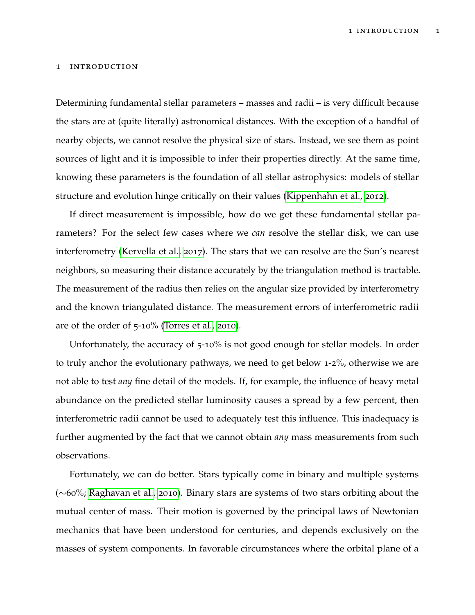## 1 introduction

Determining fundamental stellar parameters – masses and radii – is very difficult because the stars are at (quite literally) astronomical distances. With the exception of a handful of nearby objects, we cannot resolve the physical size of stars. Instead, we see them as point sources of light and it is impossible to infer their properties directly. At the same time, knowing these parameters is the foundation of all stellar astrophysics: models of stellar structure and evolution hinge critically on their values [\(Kippenhahn et al.,](#page-6-0) [2012](#page-6-0)).

If direct measurement is impossible, how do we get these fundamental stellar parameters? For the select few cases where we *can* resolve the stellar disk, we can use interferometry [\(Kervella et al.,](#page-6-1) [2017](#page-6-1)). The stars that we can resolve are the Sun's nearest neighbors, so measuring their distance accurately by the triangulation method is tractable. The measurement of the radius then relies on the angular size provided by interferometry and the known triangulated distance. The measurement errors of interferometric radii are of the order of 5-10% [\(Torres et al.,](#page-7-0) [2010](#page-7-0)).

Unfortunately, the accuracy of 5-10% is not good enough for stellar models. In order to truly anchor the evolutionary pathways, we need to get below 1-2%, otherwise we are not able to test *any* fine detail of the models. If, for example, the influence of heavy metal abundance on the predicted stellar luminosity causes a spread by a few percent, then interferometric radii cannot be used to adequately test this influence. This inadequacy is further augmented by the fact that we cannot obtain *any* mass measurements from such observations.

Fortunately, we can do better. Stars typically come in binary and multiple systems (∼60%; [Raghavan et al.,](#page-7-1) [2010](#page-7-1)). Binary stars are systems of two stars orbiting about the mutual center of mass. Their motion is governed by the principal laws of Newtonian mechanics that have been understood for centuries, and depends exclusively on the masses of system components. In favorable circumstances where the orbital plane of a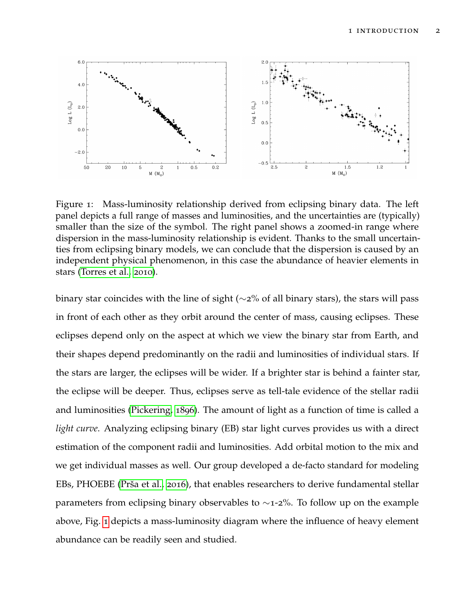

<span id="page-1-0"></span>Figure 1: Mass-luminosity relationship derived from eclipsing binary data. The left panel depicts a full range of masses and luminosities, and the uncertainties are (typically) smaller than the size of the symbol. The right panel shows a zoomed-in range where dispersion in the mass-luminosity relationship is evident. Thanks to the small uncertainties from eclipsing binary models, we can conclude that the dispersion is caused by an independent physical phenomenon, in this case the abundance of heavier elements in stars [\(Torres et al.,](#page-7-0) [2010](#page-7-0)).

binary star coincides with the line of sight ( $\sim$ 2% of all binary stars), the stars will pass in front of each other as they orbit around the center of mass, causing eclipses. These eclipses depend only on the aspect at which we view the binary star from Earth, and their shapes depend predominantly on the radii and luminosities of individual stars. If the stars are larger, the eclipses will be wider. If a brighter star is behind a fainter star, the eclipse will be deeper. Thus, eclipses serve as tell-tale evidence of the stellar radii and luminosities [\(Pickering,](#page-6-2) [1896](#page-6-2)). The amount of light as a function of time is called a *light curve*. Analyzing eclipsing binary (EB) star light curves provides us with a direct estimation of the component radii and luminosities. Add orbital motion to the mix and we get individual masses as well. Our group developed a de-facto standard for modeling EBs, PHOEBE (Prša et al., [2016](#page-7-2)), that enables researchers to derive fundamental stellar parameters from eclipsing binary observables to ∼1-2%. To follow up on the example above, Fig. [1](#page-1-0) depicts a mass-luminosity diagram where the influence of heavy element abundance can be readily seen and studied.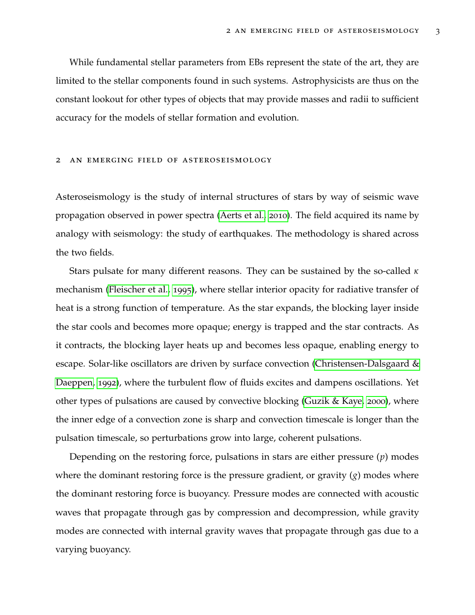While fundamental stellar parameters from EBs represent the state of the art, they are limited to the stellar components found in such systems. Astrophysicists are thus on the constant lookout for other types of objects that may provide masses and radii to sufficient accuracy for the models of stellar formation and evolution.

## 2 an emerging field of asteroseismology

Asteroseismology is the study of internal structures of stars by way of seismic wave propagation observed in power spectra [\(Aerts et al.,](#page-6-3) [2010](#page-6-3)). The field acquired its name by analogy with seismology: the study of earthquakes. The methodology is shared across the two fields.

Stars pulsate for many different reasons. They can be sustained by the so-called *κ* mechanism [\(Fleischer et al.,](#page-6-4) [1995](#page-6-4)), where stellar interior opacity for radiative transfer of heat is a strong function of temperature. As the star expands, the blocking layer inside the star cools and becomes more opaque; energy is trapped and the star contracts. As it contracts, the blocking layer heats up and becomes less opaque, enabling energy to escape. Solar-like oscillators are driven by surface convection [\(Christensen-Dalsgaard &](#page-6-5) [Daeppen,](#page-6-5) [1992](#page-6-5)), where the turbulent flow of fluids excites and dampens oscillations. Yet other types of pulsations are caused by convective blocking [\(Guzik & Kaye,](#page-6-6) [2000](#page-6-6)), where the inner edge of a convection zone is sharp and convection timescale is longer than the pulsation timescale, so perturbations grow into large, coherent pulsations.

Depending on the restoring force, pulsations in stars are either pressure (*p*) modes where the dominant restoring force is the pressure gradient, or gravity (*g*) modes where the dominant restoring force is buoyancy. Pressure modes are connected with acoustic waves that propagate through gas by compression and decompression, while gravity modes are connected with internal gravity waves that propagate through gas due to a varying buoyancy.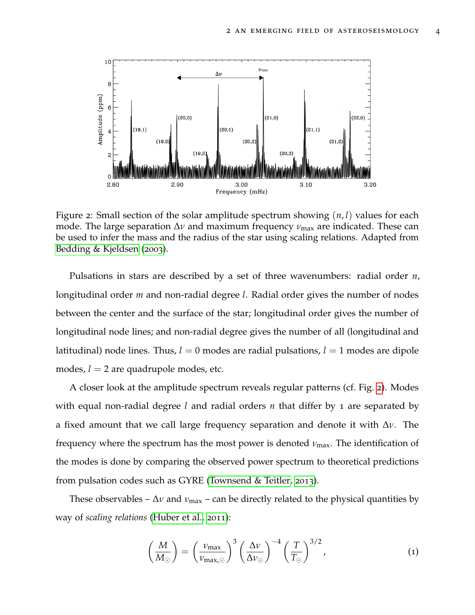

<span id="page-3-0"></span>Figure 2: Small section of the solar amplitude spectrum showing (*n*, *l*) values for each mode. The large separation Δ*ν* and maximum frequency *ν*<sub>max</sub> are indicated. These can be used to infer the mass and the radius of the star using scaling relations. Adapted from [Bedding & Kjeldsen](#page-6-7) ([2003](#page-6-7)).

Pulsations in stars are described by a set of three wavenumbers: radial order *n*, longitudinal order *m* and non-radial degree *l*. Radial order gives the number of nodes between the center and the surface of the star; longitudinal order gives the number of longitudinal node lines; and non-radial degree gives the number of all (longitudinal and latitudinal) node lines. Thus,  $l = 0$  modes are radial pulsations,  $l = 1$  modes are dipole modes,  $l = 2$  are quadrupole modes, etc.

A closer look at the amplitude spectrum reveals regular patterns (cf. Fig. [2](#page-3-0)). Modes with equal non-radial degree *l* and radial orders *n* that differ by 1 are separated by a fixed amount that we call large frequency separation and denote it with ∆*ν*. The frequency where the spectrum has the most power is denoted *ν*max. The identification of the modes is done by comparing the observed power spectrum to theoretical predictions from pulsation codes such as GYRE [\(Townsend & Teitler,](#page-7-3) [2013](#page-7-3)).

These observables –  $\Delta v$  and  $v_{\text{max}}$  – can be directly related to the physical quantities by way of *scaling relations* [\(Huber et al.,](#page-6-8) [2011](#page-6-8)):

$$
\left(\frac{M}{M_{\odot}}\right) = \left(\frac{\nu_{\text{max}}}{\nu_{\text{max},\odot}}\right)^3 \left(\frac{\Delta \nu}{\Delta \nu_{\odot}}\right)^{-4} \left(\frac{T}{T_{\odot}}\right)^{3/2},\tag{1}
$$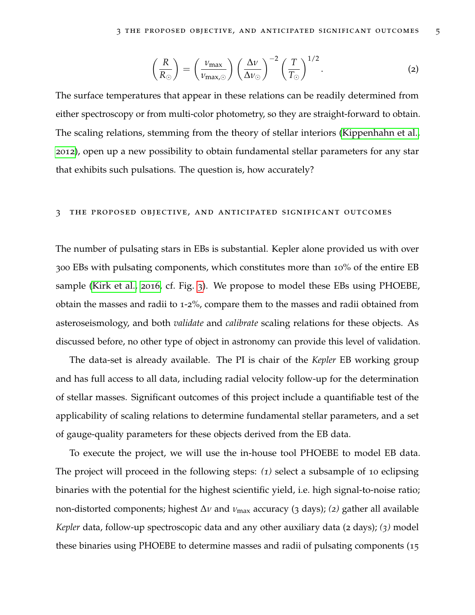$$
\left(\frac{R}{R_{\odot}}\right) = \left(\frac{\nu_{\text{max}}}{\nu_{\text{max},\odot}}\right) \left(\frac{\Delta \nu}{\Delta \nu_{\odot}}\right)^{-2} \left(\frac{T}{T_{\odot}}\right)^{1/2}.
$$
 (2)

The surface temperatures that appear in these relations can be readily determined from either spectroscopy or from multi-color photometry, so they are straight-forward to obtain. The scaling relations, stemming from the theory of stellar interiors [\(Kippenhahn et al.,](#page-6-0) [2012](#page-6-0)), open up a new possibility to obtain fundamental stellar parameters for any star that exhibits such pulsations. The question is, how accurately?

## 3 the proposed objective, and anticipated significant outcomes

The number of pulsating stars in EBs is substantial. Kepler alone provided us with over 300 EBs with pulsating components, which constitutes more than 10% of the entire EB sample [\(Kirk et al.,](#page-6-9) [2016](#page-6-9), cf. Fig. [3](#page-5-0)). We propose to model these EBs using PHOEBE, obtain the masses and radii to 1-2%, compare them to the masses and radii obtained from asteroseismology, and both *validate* and *calibrate* scaling relations for these objects. As discussed before, no other type of object in astronomy can provide this level of validation.

The data-set is already available. The PI is chair of the *Kepler* EB working group and has full access to all data, including radial velocity follow-up for the determination of stellar masses. Significant outcomes of this project include a quantifiable test of the applicability of scaling relations to determine fundamental stellar parameters, and a set of gauge-quality parameters for these objects derived from the EB data.

To execute the project, we will use the in-house tool PHOEBE to model EB data. The project will proceed in the following steps: *(1)* select a subsample of 10 eclipsing binaries with the potential for the highest scientific yield, i.e. high signal-to-noise ratio; non-distorted components; highest ∆*ν* and *ν*max accuracy (3 days); *(2)* gather all available *Kepler* data, follow-up spectroscopic data and any other auxiliary data (2 days); *(3)* model these binaries using PHOEBE to determine masses and radii of pulsating components (15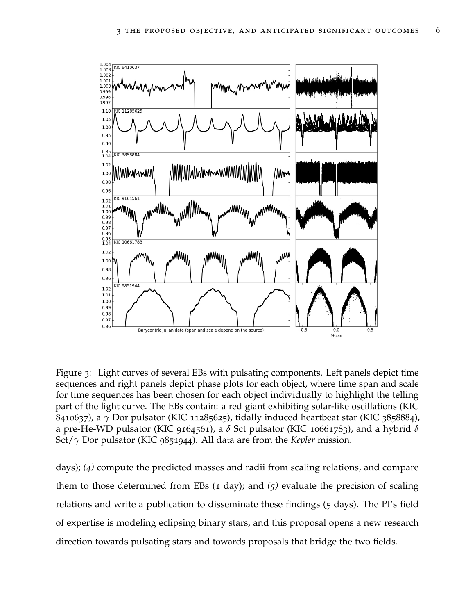

<span id="page-5-0"></span>Figure 3: Light curves of several EBs with pulsating components. Left panels depict time sequences and right panels depict phase plots for each object, where time span and scale for time sequences has been chosen for each object individually to highlight the telling part of the light curve. The EBs contain: a red giant exhibiting solar-like oscillations (KIC 8410637), a *γ* Dor pulsator (KIC 11285625), tidally induced heartbeat star (KIC 3858884), a pre-He-WD pulsator (KIC 9164561), a *δ* Sct pulsator (KIC 10661783), and a hybrid *δ* Sct/*γ* Dor pulsator (KIC 9851944). All data are from the *Kepler* mission.

days); *(4)* compute the predicted masses and radii from scaling relations, and compare them to those determined from EBs (1 day); and *(5)* evaluate the precision of scaling relations and write a publication to disseminate these findings (5 days). The PI's field of expertise is modeling eclipsing binary stars, and this proposal opens a new research direction towards pulsating stars and towards proposals that bridge the two fields.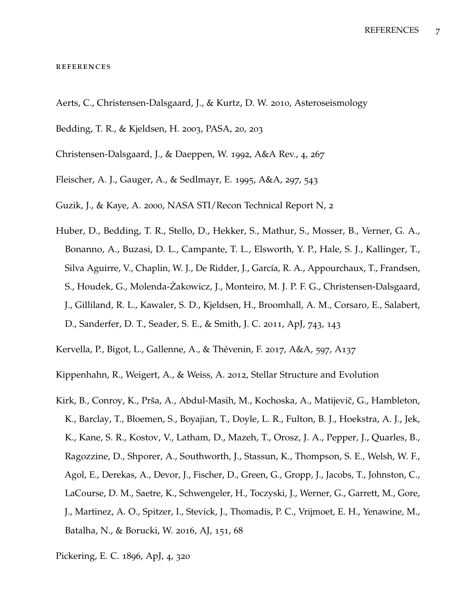## **REFERENCES**

- <span id="page-6-3"></span>Aerts, C., Christensen-Dalsgaard, J., & Kurtz, D. W. 2010, Asteroseismology
- <span id="page-6-7"></span>Bedding, T. R., & Kjeldsen, H. 2003, PASA, 20, 203
- <span id="page-6-5"></span>Christensen-Dalsgaard, J., & Daeppen, W. 1992, A&A Rev., 4, 267
- <span id="page-6-4"></span>Fleischer, A. J., Gauger, A., & Sedlmayr, E. 1995, A&A, 297, 543
- <span id="page-6-6"></span>Guzik, J., & Kaye, A. 2000, NASA STI/Recon Technical Report N, 2
- <span id="page-6-8"></span>Huber, D., Bedding, T. R., Stello, D., Hekker, S., Mathur, S., Mosser, B., Verner, G. A., Bonanno, A., Buzasi, D. L., Campante, T. L., Elsworth, Y. P., Hale, S. J., Kallinger, T., Silva Aguirre, V., Chaplin, W. J., De Ridder, J., García, R. A., Appourchaux, T., Frandsen, S., Houdek, G., Molenda-Żakowicz, J., Monteiro, M. J. P. F. G., Christensen-Dalsgaard, J., Gilliland, R. L., Kawaler, S. D., Kjeldsen, H., Broomhall, A. M., Corsaro, E., Salabert, D., Sanderfer, D. T., Seader, S. E., & Smith, J. C. 2011, ApJ, 743, 143
- <span id="page-6-1"></span>Kervella, P., Bigot, L., Gallenne, A., & Thévenin, F. 2017, A&A, 597, A137
- <span id="page-6-0"></span>Kippenhahn, R., Weigert, A., & Weiss, A. 2012, Stellar Structure and Evolution
- <span id="page-6-9"></span>Kirk, B., Conroy, K., Prša, A., Abdul-Masih, M., Kochoska, A., Matijevič, G., Hambleton, K., Barclay, T., Bloemen, S., Boyajian, T., Doyle, L. R., Fulton, B. J., Hoekstra, A. J., Jek, K., Kane, S. R., Kostov, V., Latham, D., Mazeh, T., Orosz, J. A., Pepper, J., Quarles, B., Ragozzine, D., Shporer, A., Southworth, J., Stassun, K., Thompson, S. E., Welsh, W. F., Agol, E., Derekas, A., Devor, J., Fischer, D., Green, G., Gropp, J., Jacobs, T., Johnston, C., LaCourse, D. M., Saetre, K., Schwengeler, H., Toczyski, J., Werner, G., Garrett, M., Gore, J., Martinez, A. O., Spitzer, I., Stevick, J., Thomadis, P. C., Vrijmoet, E. H., Yenawine, M., Batalha, N., & Borucki, W. 2016, AJ, 151, 68
- <span id="page-6-2"></span>Pickering, E. C. 1896, ApJ, 4, 320